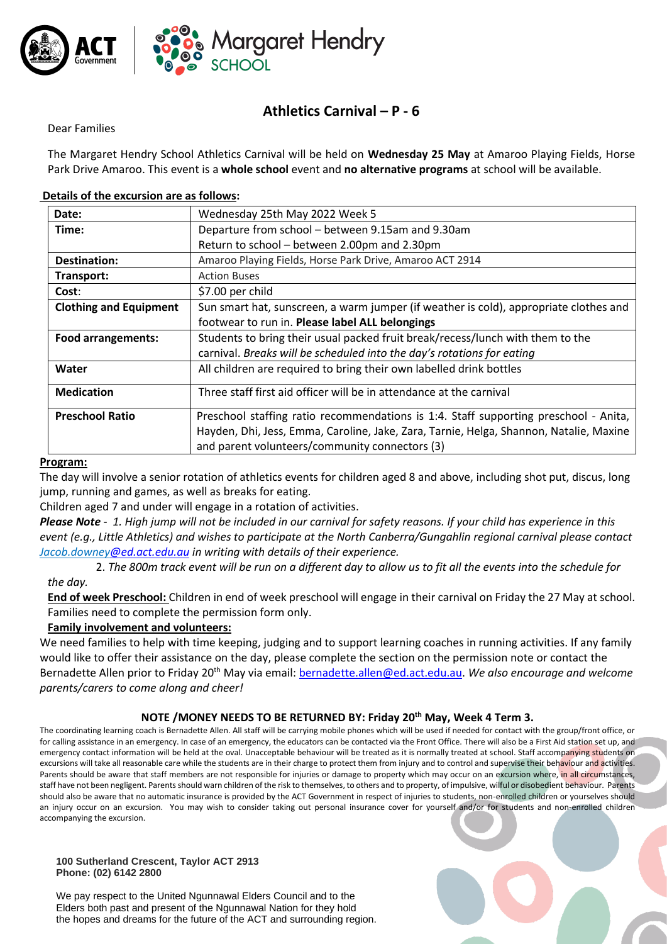

# **Athletics Carnival – P - 6**

Dear Families

The Margaret Hendry School Athletics Carnival will be held on **Wednesday 25 May** at Amaroo Playing Fields, Horse Park Drive Amaroo. This event is a **whole school** event and **no alternative programs** at school will be available.

### **Details of the excursion are as follows:**

| Date:                         | Wednesday 25th May 2022 Week 5                                                         |  |  |  |  |  |  |  |
|-------------------------------|----------------------------------------------------------------------------------------|--|--|--|--|--|--|--|
| Time:                         | Departure from school - between 9.15am and 9.30am                                      |  |  |  |  |  |  |  |
|                               | Return to school - between 2.00pm and 2.30pm                                           |  |  |  |  |  |  |  |
| Destination:                  | Amaroo Playing Fields, Horse Park Drive, Amaroo ACT 2914                               |  |  |  |  |  |  |  |
| Transport:                    | <b>Action Buses</b>                                                                    |  |  |  |  |  |  |  |
| Cost:                         | \$7.00 per child                                                                       |  |  |  |  |  |  |  |
| <b>Clothing and Equipment</b> | Sun smart hat, sunscreen, a warm jumper (if weather is cold), appropriate clothes and  |  |  |  |  |  |  |  |
|                               | footwear to run in. Please label ALL belongings                                        |  |  |  |  |  |  |  |
| <b>Food arrangements:</b>     | Students to bring their usual packed fruit break/recess/lunch with them to the         |  |  |  |  |  |  |  |
|                               | carnival. Breaks will be scheduled into the day's rotations for eating                 |  |  |  |  |  |  |  |
| Water                         | All children are required to bring their own labelled drink bottles                    |  |  |  |  |  |  |  |
| <b>Medication</b>             | Three staff first aid officer will be in attendance at the carnival                    |  |  |  |  |  |  |  |
| <b>Preschool Ratio</b>        | Preschool staffing ratio recommendations is 1:4. Staff supporting preschool - Anita,   |  |  |  |  |  |  |  |
|                               | Hayden, Dhi, Jess, Emma, Caroline, Jake, Zara, Tarnie, Helga, Shannon, Natalie, Maxine |  |  |  |  |  |  |  |
|                               | and parent volunteers/community connectors (3)                                         |  |  |  |  |  |  |  |

#### **Program:**

The day will involve a senior rotation of athletics events for children aged 8 and above, including shot put, discus, long jump, running and games, as well as breaks for eating.

Children aged 7 and under will engage in a rotation of activities.

*Please Note - 1. High jump will not be included in our carnival for safety reasons. If your child has experience in this event (e.g., Little Athletics) and wishes to participate at the North Canberra/Gungahlin regional carnival please contact Jacob.downe[y@ed.act.edu.au](mailto:Anastasia.odonnell@ed.act.edu.au) in writing with details of their experience.*

2. *The 800m track event will be run on a different day to allow us to fit all the events into the schedule for the day.*

**End of week Preschool:** Children in end of week preschool will engage in their carnival on Friday the 27 May at school. Families need to complete the permission form only.

**Family involvement and volunteers:**

We need families to help with time keeping, judging and to support learning coaches in running activities. If any family would like to offer their assistance on the day, please complete the section on the permission note or contact the Bernadette Allen prior to Friday 20<sup>th</sup> May via email: **bernadette.allen@ed.act.edu.au**. We also encourage and welcome *parents/carers to come along and cheer!*

#### **NOTE /MONEY NEEDS TO BE RETURNED BY: Friday 20th May, Week 4 Term 3.**

The coordinating learning coach is Bernadette Allen. All staff will be carrying mobile phones which will be used if needed for contact with the group/front office, or for calling assistance in an emergency. In case of an emergency, the educators can be contacted via the Front Office. There will also be a First Aid station set up, and emergency contact information will be held at the oval. Unacceptable behaviour will be treated as it is normally treated at school. Staff accompanying students on excursions will take all reasonable care while the students are in their charge to protect them from injury and to control and supervise their behaviour and activities. Parents should be aware that staff members are not responsible for injuries or damage to property which may occur on an excursion where, in all circumstances, staff have not been negligent. Parents should warn children of the risk to themselves, to others and to property, of impulsive, wilful or disobedient behaviour. Parents should also be aware that no automatic insurance is provided by the ACT Government in respect of injuries to students, non-enrolled children or yourselves should an injury occur on an excursion. You may wish to consider taking out personal insurance cover for yourself and/or for students and non-enrolled children accompanying the excursion.

**100 Sutherland Crescent, Taylor ACT 2913 [Phone:](https://www.google.com.au/search?safe=active&rlz=1C1GCEA_enAU753AU754&sout=1&q=narrabundah+college+phone&sa=X&ved=0ahUKEwjRj-i0i8rYAhXHwrwKHc9MBPgQ6BMIlAEwFA) (02[\) 6142 2800](https://www.google.com.au/search?q=harrison+school&rlz=1C1GCEA_enAU753AU754&oq=harrison+school&aqs=chrome..69i57.1591j0j7&sourceid=chrome&ie=UTF-8)**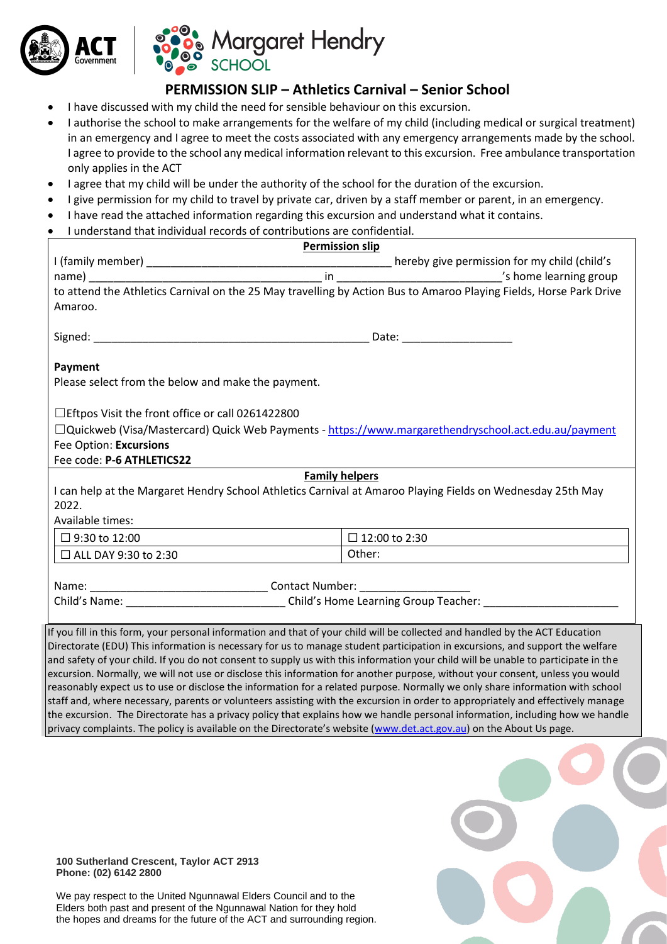



Margaret Hendry

## **PERMISSION SLIP – Athletics Carnival – Senior School**

- I have discussed with my child the need for sensible behaviour on this excursion.
- I authorise the school to make arrangements for the welfare of my child (including medical or surgical treatment) in an emergency and I agree to meet the costs associated with any emergency arrangements made by the school. I agree to provide to the school any medical information relevant to this excursion. Free ambulance transportation only applies in the ACT
- I agree that my child will be under the authority of the school for the duration of the excursion.
- I give permission for my child to travel by private car, driven by a staff member or parent, in an emergency.
- I have read the attached information regarding this excursion and understand what it contains.
- I understand that individual records of contributions are confidential.

| <b>Permission slip</b>                                                                                                        |                             |  |  |  |  |  |  |
|-------------------------------------------------------------------------------------------------------------------------------|-----------------------------|--|--|--|--|--|--|
|                                                                                                                               |                             |  |  |  |  |  |  |
|                                                                                                                               |                             |  |  |  |  |  |  |
| to attend the Athletics Carnival on the 25 May travelling by Action Bus to Amaroo Playing Fields, Horse Park Drive            |                             |  |  |  |  |  |  |
| Amaroo.                                                                                                                       |                             |  |  |  |  |  |  |
|                                                                                                                               |                             |  |  |  |  |  |  |
|                                                                                                                               | Date: _____________________ |  |  |  |  |  |  |
|                                                                                                                               |                             |  |  |  |  |  |  |
| Payment                                                                                                                       |                             |  |  |  |  |  |  |
| Please select from the below and make the payment.                                                                            |                             |  |  |  |  |  |  |
|                                                                                                                               |                             |  |  |  |  |  |  |
| $\Box$ Eftpos Visit the front office or call 0261422800                                                                       |                             |  |  |  |  |  |  |
| □Quickweb (Visa/Mastercard) Quick Web Payments - https://www.margarethendryschool.act.edu.au/payment                          |                             |  |  |  |  |  |  |
| Fee Option: Excursions                                                                                                        |                             |  |  |  |  |  |  |
| Fee code: P-6 ATHLETICS22                                                                                                     |                             |  |  |  |  |  |  |
|                                                                                                                               | <b>Family helpers</b>       |  |  |  |  |  |  |
| I can help at the Margaret Hendry School Athletics Carnival at Amaroo Playing Fields on Wednesday 25th May                    |                             |  |  |  |  |  |  |
| 2022.                                                                                                                         |                             |  |  |  |  |  |  |
| Available times:                                                                                                              |                             |  |  |  |  |  |  |
| $\Box$ 9:30 to 12:00                                                                                                          | □ 12:00 to 2:30             |  |  |  |  |  |  |
| $\Box$ ALL DAY 9:30 to 2:30                                                                                                   | Other:                      |  |  |  |  |  |  |
|                                                                                                                               |                             |  |  |  |  |  |  |
|                                                                                                                               |                             |  |  |  |  |  |  |
| Child's Home Learning Group Teacher:<br>Child's Home Learning Group Teacher:                                                  |                             |  |  |  |  |  |  |
|                                                                                                                               |                             |  |  |  |  |  |  |
| If you fill in this form, your personal information and that of your child will be collected and handled by the ACT Education |                             |  |  |  |  |  |  |
| Directorate (EDU) This information is necessary for us to manage student participation in excursions, and support the welfare |                             |  |  |  |  |  |  |

Directorate (EDU) This information is necessary for us to manage student participation in excursions, and support the welfare and safety of your child. If you do not consent to supply us with this information your child will be unable to participate in the excursion. Normally, we will not use or disclose this information for another purpose, without your consent, unless you would reasonably expect us to use or disclose the information for a related purpose. Normally we only share information with school staff and, where necessary, parents or volunteers assisting with the excursion in order to appropriately and effectively manage the excursion. The Directorate has a privacy policy that explains how we handle personal information, including how we handle privacy complaints. The policy is available on the Directorate's website ([www.det.act.gov.au\)](http://www.det.act.gov.au/) on the About Us page.

**100 Sutherland Crescent, Taylor ACT 2913 [Phone:](https://www.google.com.au/search?safe=active&rlz=1C1GCEA_enAU753AU754&sout=1&q=narrabundah+college+phone&sa=X&ved=0ahUKEwjRj-i0i8rYAhXHwrwKHc9MBPgQ6BMIlAEwFA) (02[\) 6142 2800](https://www.google.com.au/search?q=harrison+school&rlz=1C1GCEA_enAU753AU754&oq=harrison+school&aqs=chrome..69i57.1591j0j7&sourceid=chrome&ie=UTF-8)**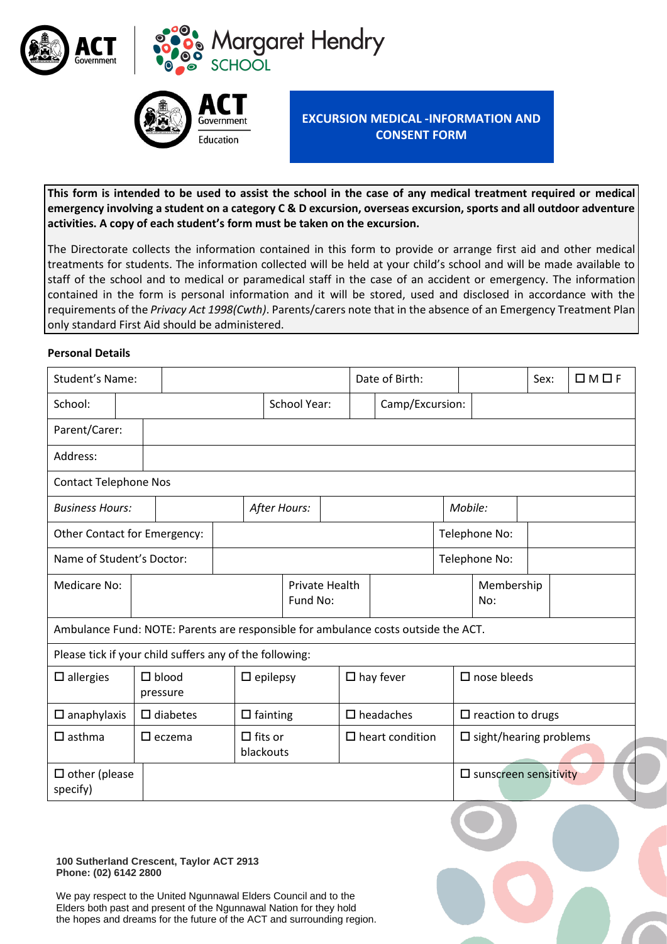

**Margaret Hendry SCHOOL** 



**EXCURSION MEDICAL -INFORMATION AND CONSENT FORM**

**This form is intended to be used to assist the school in the case of any medical treatment required or medical emergency involving a student on a category C & D excursion, overseas excursion, sports and all outdoor adventure activities. A copy of each student's form must be taken on the excursion.**

The Directorate collects the information contained in this form to provide or arrange first aid and other medical treatments for students. The information collected will be held at your child's school and will be made available to staff of the school and to medical or paramedical staff in the case of an accident or emergency. The information contained in the form is personal information and it will be stored, used and disclosed in accordance with the requirements of the *Privacy Act 1998(Cwth)*. Parents/carers note that in the absence of an Emergency Treatment Plan only standard First Aid should be administered.

#### **Personal Details**

| <b>Student's Name:</b>                                                             |  |                          |                             |                 |                            |                        |                     | Date of Birth:    |                                  | Sex:                            |  |  | $\Box$ M $\Box$ F |
|------------------------------------------------------------------------------------|--|--------------------------|-----------------------------|-----------------|----------------------------|------------------------|---------------------|-------------------|----------------------------------|---------------------------------|--|--|-------------------|
| School:                                                                            |  |                          |                             |                 | <b>School Year:</b>        |                        |                     |                   | Camp/Excursion:                  |                                 |  |  |                   |
| Parent/Carer:                                                                      |  |                          |                             |                 |                            |                        |                     |                   |                                  |                                 |  |  |                   |
| Address:                                                                           |  |                          |                             |                 |                            |                        |                     |                   |                                  |                                 |  |  |                   |
| <b>Contact Telephone Nos</b>                                                       |  |                          |                             |                 |                            |                        |                     |                   |                                  |                                 |  |  |                   |
| <b>Business Hours:</b>                                                             |  |                          | After Hours:                |                 |                            | Mobile:                |                     |                   |                                  |                                 |  |  |                   |
| Other Contact for Emergency:                                                       |  |                          |                             |                 | Telephone No:              |                        |                     |                   |                                  |                                 |  |  |                   |
| Name of Student's Doctor:                                                          |  |                          |                             |                 |                            |                        | Telephone No:       |                   |                                  |                                 |  |  |                   |
| Medicare No:                                                                       |  |                          |                             |                 | Private Health<br>Fund No: |                        |                     | Membership<br>No: |                                  |                                 |  |  |                   |
| Ambulance Fund: NOTE: Parents are responsible for ambulance costs outside the ACT. |  |                          |                             |                 |                            |                        |                     |                   |                                  |                                 |  |  |                   |
| Please tick if your child suffers any of the following:                            |  |                          |                             |                 |                            |                        |                     |                   |                                  |                                 |  |  |                   |
| $\square$ allergies                                                                |  | $\Box$ blood<br>pressure |                             | $\Box$ epilepsy |                            |                        | $\square$ hay fever |                   |                                  | $\square$ nose bleeds           |  |  |                   |
| $\square$ anaphylaxis                                                              |  | $\Box$ diabetes          | $\square$ fainting          |                 |                            | $\square$ headaches    |                     |                   | $\Box$ reaction to drugs         |                                 |  |  |                   |
| $\square$ asthma                                                                   |  | $\square$ eczema         | $\Box$ fits or<br>blackouts |                 |                            | $\Box$ heart condition |                     |                   | $\square$ sight/hearing problems |                                 |  |  |                   |
| $\square$ other (please<br>specify)                                                |  |                          |                             |                 |                            |                        |                     |                   |                                  | $\square$ sunscreen sensitivity |  |  |                   |

**100 Sutherland Crescent, Taylor ACT 2913 [Phone:](https://www.google.com.au/search?safe=active&rlz=1C1GCEA_enAU753AU754&sout=1&q=narrabundah+college+phone&sa=X&ved=0ahUKEwjRj-i0i8rYAhXHwrwKHc9MBPgQ6BMIlAEwFA) (02[\) 6142 2800](https://www.google.com.au/search?q=harrison+school&rlz=1C1GCEA_enAU753AU754&oq=harrison+school&aqs=chrome..69i57.1591j0j7&sourceid=chrome&ie=UTF-8)**